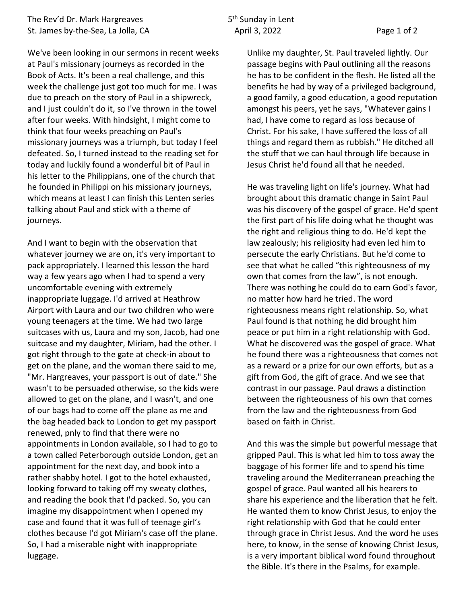The Rev'd Dr. Mark Hargreaves  $5<sup>th</sup>$  Sunday in Lent St. James by-the-Sea, La Jolla, CA April 3, 2022 Page 1 of 2

We've been looking in our sermons in recent weeks at Paul's missionary journeys as recorded in the Book of Acts. It's been a real challenge, and this week the challenge just got too much for me. I was due to preach on the story of Paul in a shipwreck, and I just couldn't do it, so I've thrown in the towel after four weeks. With hindsight, I might come to think that four weeks preaching on Paul's missionary journeys was a triumph, but today I feel defeated. So, I turned instead to the reading set for today and luckily found a wonderful bit of Paul in his letter to the Philippians, one of the church that he founded in Philippi on his missionary journeys, which means at least I can finish this Lenten series talking about Paul and stick with a theme of journeys.

And I want to begin with the observation that whatever journey we are on, it's very important to pack appropriately. I learned this lesson the hard way a few years ago when I had to spend a very uncomfortable evening with extremely inappropriate luggage. I'd arrived at Heathrow Airport with Laura and our two children who were young teenagers at the time. We had two large suitcases with us, Laura and my son, Jacob, had one suitcase and my daughter, Miriam, had the other. I got right through to the gate at check-in about to get on the plane, and the woman there said to me, "Mr. Hargreaves, your passport is out of date." She wasn't to be persuaded otherwise, so the kids were allowed to get on the plane, and I wasn't, and one of our bags had to come off the plane as me and the bag headed back to London to get my passport renewed, pnly to find that there were no appointments in London available, so I had to go to a town called Peterborough outside London, get an appointment for the next day, and book into a rather shabby hotel. I got to the hotel exhausted, looking forward to taking off my sweaty clothes, and reading the book that I'd packed. So, you can imagine my disappointment when I opened my case and found that it was full of teenage girl's clothes because I'd got Miriam's case off the plane. So, I had a miserable night with inappropriate luggage.

Unlike my daughter, St. Paul traveled lightly. Our passage begins with Paul outlining all the reasons he has to be confident in the flesh. He listed all the benefits he had by way of a privileged background, a good family, a good education, a good reputation amongst his peers, yet he says, "Whatever gains I had, I have come to regard as loss because of Christ. For his sake, I have suffered the loss of all things and regard them as rubbish." He ditched all the stuff that we can haul through life because in Jesus Christ he'd found all that he needed.

He was traveling light on life's journey. What had brought about this dramatic change in Saint Paul was his discovery of the gospel of grace. He'd spent the first part of his life doing what he thought was the right and religious thing to do. He'd kept the law zealously; his religiosity had even led him to persecute the early Christians. But he'd come to see that what he called "this righteousness of my own that comes from the law", is not enough. There was nothing he could do to earn God's favor, no matter how hard he tried. The word righteousness means right relationship. So, what Paul found is that nothing he did brought him peace or put him in a right relationship with God. What he discovered was the gospel of grace. What he found there was a righteousness that comes not as a reward or a prize for our own efforts, but as a gift from God, the gift of grace. And we see that contrast in our passage. Paul draws a distinction between the righteousness of his own that comes from the law and the righteousness from God based on faith in Christ.

And this was the simple but powerful message that gripped Paul. This is what led him to toss away the baggage of his former life and to spend his time traveling around the Mediterranean preaching the gospel of grace. Paul wanted all his hearers to share his experience and the liberation that he felt. He wanted them to know Christ Jesus, to enjoy the right relationship with God that he could enter through grace in Christ Jesus. And the word he uses here, to know, in the sense of knowing Christ Jesus, is a very important biblical word found throughout the Bible. It's there in the Psalms, for example.